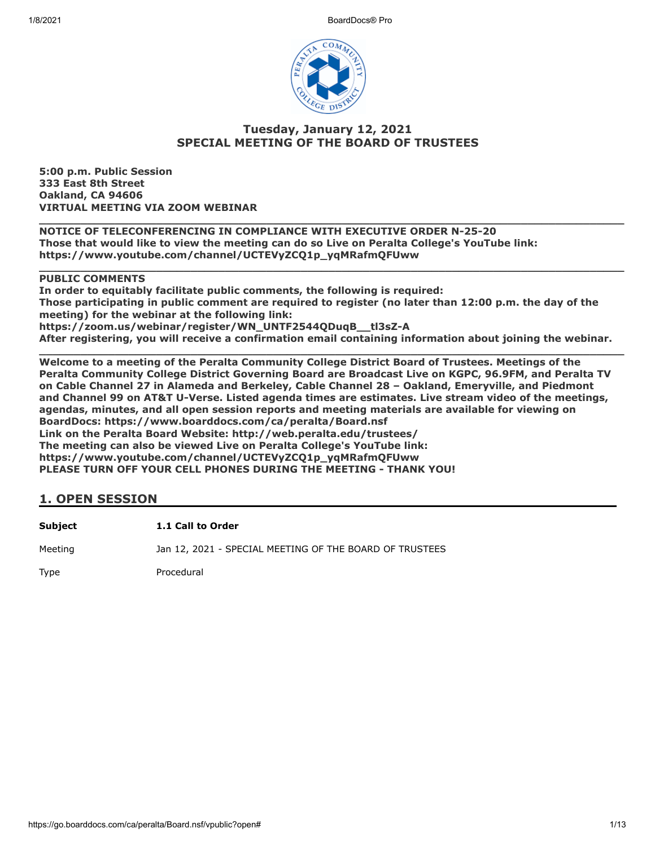

# **Tuesday, January 12, 2021 SPECIAL MEETING OF THE BOARD OF TRUSTEES**

**5:00 p.m. Public Session 333 East 8th Street Oakland, CA 94606 VIRTUAL MEETING VIA ZOOM WEBINAR**

**\_\_\_\_\_\_\_\_\_\_\_\_\_\_\_\_\_\_\_\_\_\_\_\_\_\_\_\_\_\_\_\_\_\_\_\_\_\_\_\_\_\_\_\_\_\_\_\_\_\_\_\_\_\_\_\_\_\_\_\_\_\_\_\_\_\_\_\_\_\_\_\_\_\_\_\_\_\_\_\_\_\_\_\_\_ NOTICE OF TELECONFERENCING IN COMPLIANCE WITH EXECUTIVE ORDER N-25-20 Those that would like to view the meeting can do so Live on Peralta College's YouTube link: https://www.youtube.com/channel/UCTEVyZCQ1p\_yqMRafmQFUww**

#### **\_\_\_\_\_\_\_\_\_\_\_\_\_\_\_\_\_\_\_\_\_\_\_\_\_\_\_\_\_\_\_\_\_\_\_\_\_\_\_\_\_\_\_\_\_\_\_\_\_\_\_\_\_\_\_\_\_\_\_\_\_\_\_\_\_\_\_\_\_\_\_\_\_\_\_\_\_\_\_\_\_\_\_\_\_ PUBLIC COMMENTS**

**In order to equitably facilitate public comments, the following is required: Those participating in public comment are required to register (no later than 12:00 p.m. the day of the meeting) for the webinar at the following link: https://zoom.us/webinar/register/WN\_UNTF2544QDuqB\_\_tl3sZ-A After registering, you will receive a confirmation email containing information about joining the webinar.**

**\_\_\_\_\_\_\_\_\_\_\_\_\_\_\_\_\_\_\_\_\_\_\_\_\_\_\_\_\_\_\_\_\_\_\_\_\_\_\_\_\_\_\_\_\_\_\_\_\_\_\_\_\_\_\_\_\_\_\_\_\_\_\_\_\_\_\_\_\_\_\_\_\_\_\_\_\_\_\_\_\_\_\_\_\_ Welcome to a meeting of the Peralta Community College District Board of Trustees. Meetings of the Peralta Community College District Governing Board are Broadcast Live on KGPC, 96.9FM, and Peralta TV on Cable Channel 27 in Alameda and Berkeley, Cable Channel 28 – Oakland, Emeryville, and Piedmont and Channel 99 on AT&T U-Verse. Listed agenda times are estimates. Live stream video of the meetings, agendas, minutes, and all open session reports and meeting materials are available for viewing on BoardDocs: https://www.boarddocs.com/ca/peralta/Board.nsf Link on the Peralta Board Website: http://web.peralta.edu/trustees/ The meeting can also be viewed Live on Peralta College's YouTube link: https://www.youtube.com/channel/UCTEVyZCQ1p\_yqMRafmQFUww PLEASE TURN OFF YOUR CELL PHONES DURING THE MEETING - THANK YOU!**

| Subject | 1.1 Call to Order                                       |
|---------|---------------------------------------------------------|
| Meeting | Jan 12, 2021 - SPECIAL MEETING OF THE BOARD OF TRUSTEES |
| Type    | Procedural                                              |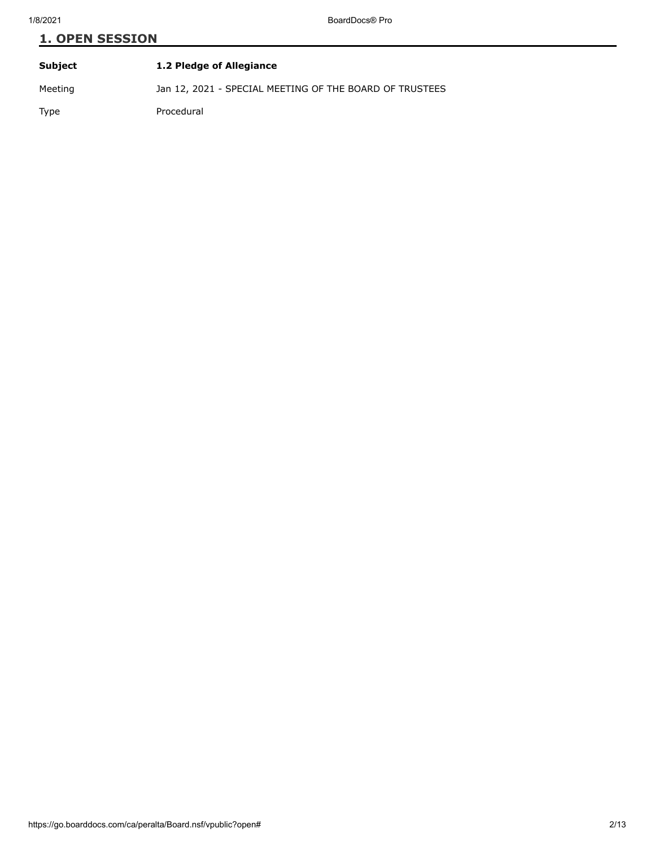| Subject | 1.2 Pledge of Allegiance                                |
|---------|---------------------------------------------------------|
| Meeting | Jan 12, 2021 - SPECIAL MEETING OF THE BOARD OF TRUSTEES |
| Type    | Procedural                                              |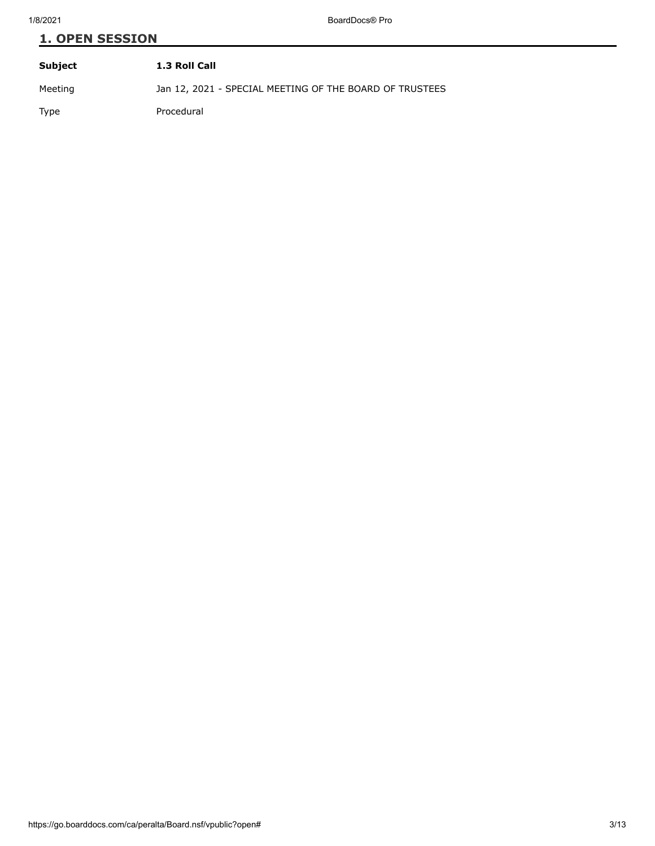| Subject | 1.3 Roll Call                                           |
|---------|---------------------------------------------------------|
| Meeting | Jan 12, 2021 - SPECIAL MEETING OF THE BOARD OF TRUSTEES |
| Type    | Procedural                                              |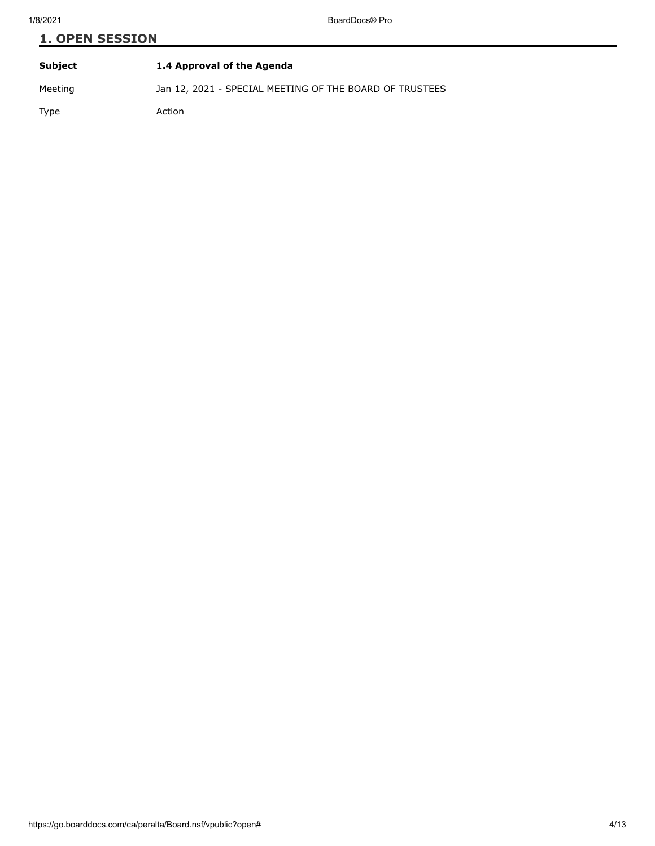| Subject | 1.4 Approval of the Agenda                              |
|---------|---------------------------------------------------------|
| Meeting | Jan 12, 2021 - SPECIAL MEETING OF THE BOARD OF TRUSTEES |
| Type    | Action                                                  |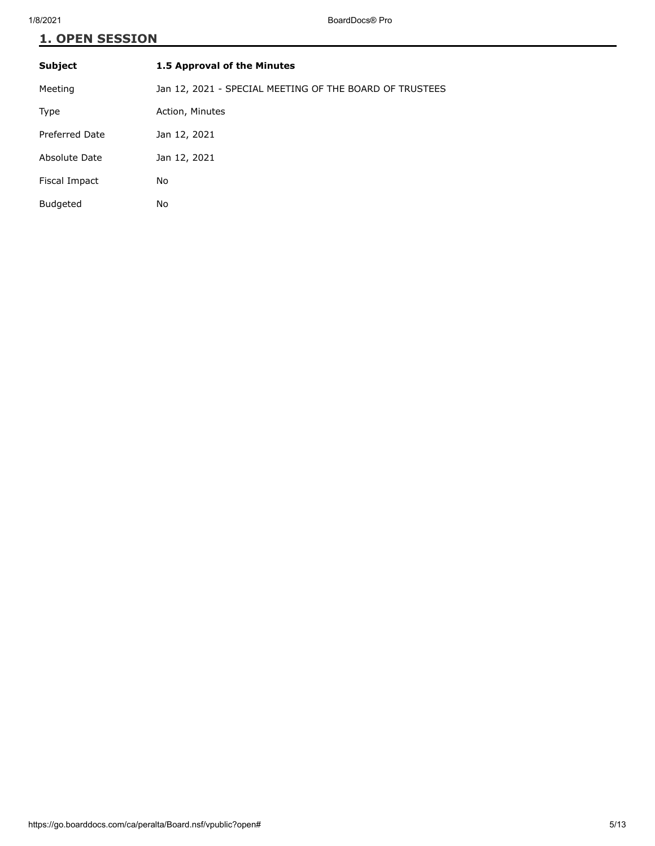| <b>Subject</b>  | 1.5 Approval of the Minutes                             |
|-----------------|---------------------------------------------------------|
| Meeting         | Jan 12, 2021 - SPECIAL MEETING OF THE BOARD OF TRUSTEES |
| Type            | Action, Minutes                                         |
| Preferred Date  | Jan 12, 2021                                            |
| Absolute Date   | Jan 12, 2021                                            |
| Fiscal Impact   | No                                                      |
| <b>Budgeted</b> | No                                                      |
|                 |                                                         |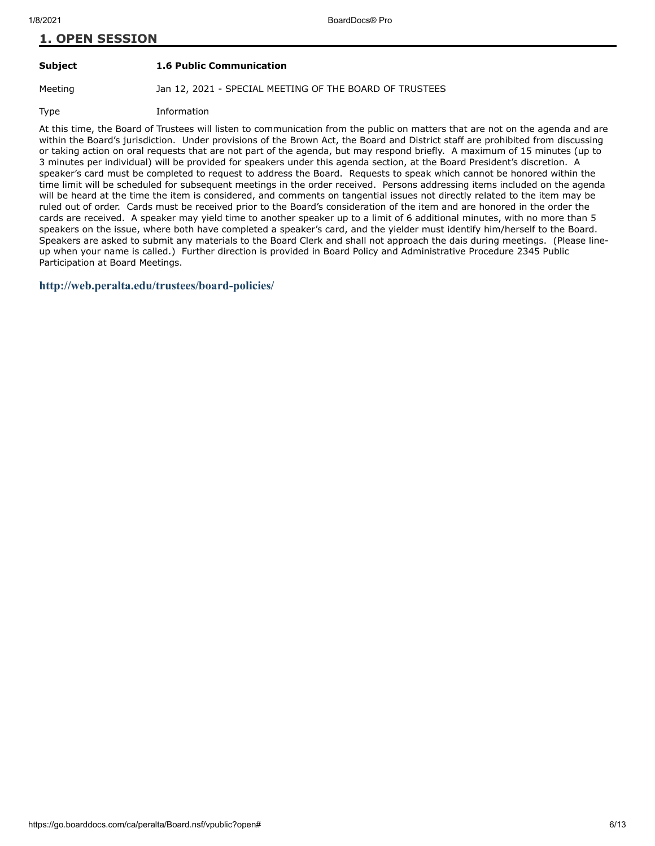#### **Subject 1.6 Public Communication**

Meeting Jan 12, 2021 - SPECIAL MEETING OF THE BOARD OF TRUSTEES

Type Information

At this time, the Board of Trustees will listen to communication from the public on matters that are not on the agenda and are within the Board's jurisdiction. Under provisions of the Brown Act, the Board and District staff are prohibited from discussing or taking action on oral requests that are not part of the agenda, but may respond briefly. A maximum of 15 minutes (up to 3 minutes per individual) will be provided for speakers under this agenda section, at the Board President's discretion. A speaker's card must be completed to request to address the Board. Requests to speak which cannot be honored within the time limit will be scheduled for subsequent meetings in the order received. Persons addressing items included on the agenda will be heard at the time the item is considered, and comments on tangential issues not directly related to the item may be ruled out of order. Cards must be received prior to the Board's consideration of the item and are honored in the order the cards are received. A speaker may yield time to another speaker up to a limit of 6 additional minutes, with no more than 5 speakers on the issue, where both have completed a speaker's card, and the yielder must identify him/herself to the Board. Speakers are asked to submit any materials to the Board Clerk and shall not approach the dais during meetings. (Please lineup when your name is called.) Further direction is provided in Board Policy and Administrative Procedure 2345 Public Participation at Board Meetings.

#### **<http://web.peralta.edu/trustees/board-policies/>**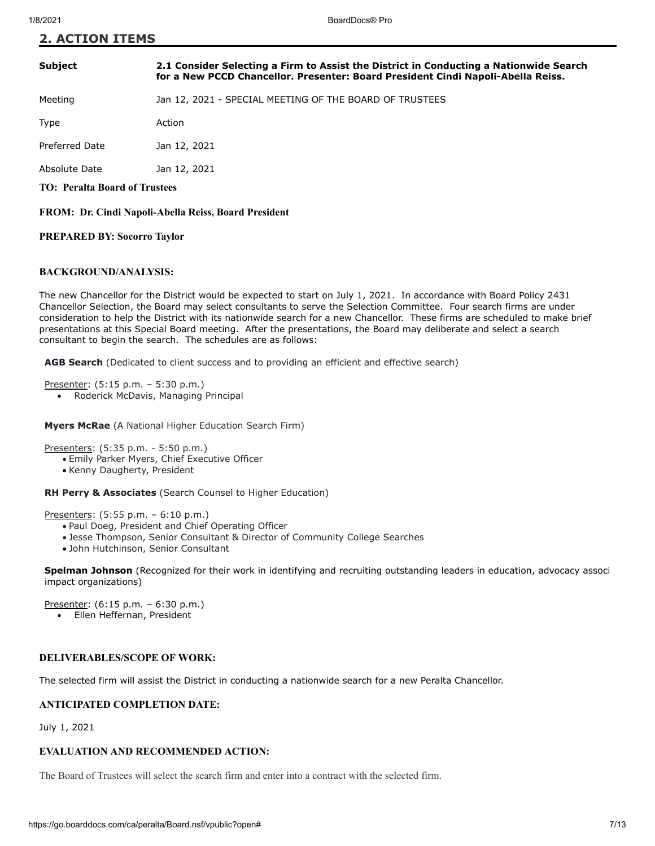### **Subject 2.1 Consider Selecting a Firm to Assist the District in Conducting a Nationwide Search for a New PCCD Chancellor. Presenter: Board President Cindi Napoli-Abella Reiss.**

Meeting Jan 12, 2021 - SPECIAL MEETING OF THE BOARD OF TRUSTEES

Type **Action** 

Preferred Date Jan 12, 2021

Absolute Date Jan 12, 2021

**TO: Peralta Board of Trustees**

**FROM: Dr. Cindi Napoli-Abella Reiss, Board President**

#### **PREPARED BY: Socorro Taylor**

#### **BACKGROUND/ANALYSIS:**

The new Chancellor for the District would be expected to start on July 1, 2021. In accordance with Board Policy 2431 Chancellor Selection, the Board may select consultants to serve the Selection Committee. Four search firms are under consideration to help the District with its nationwide search for a new Chancellor. These firms are scheduled to make brief presentations at this Special Board meeting. After the presentations, the Board may deliberate and select a search consultant to begin the search. The schedules are as follows:

**AGB Search** (Dedicated to client success and to providing an efficient and effective search)

Presenter: (5:15 p.m. – 5:30 p.m.)

Roderick McDavis, Managing Principal  $\bullet$ 

**Myers McRae** (A National Higher Education Search Firm)

Presenters: (5:35 p.m. - 5:50 p.m.)

- · Emily Parker Myers, Chief Executive Officer
- · Kenny Daugherty, President

**RH Perry & Associates** (Search Counsel to Higher Education)

Presenters: (5:55 p.m. – 6:10 p.m.)

- · Paul Doeg, President and Chief Operating Officer
- · Jesse Thompson, Senior Consultant & Director of Community College Searches
- · John Hutchinson, Senior Consultant

**Spelman Johnson** (Recognized for their work in identifying and recruiting outstanding leaders in education, advocacy associ impact organizations)

Presenter: (6:15 p.m. – 6:30 p.m.) Ellen Heffernan, President  $\bullet$ 

#### **DELIVERABLES/SCOPE OF WORK:**

The selected firm will assist the District in conducting a nationwide search for a new Peralta Chancellor.

#### **ANTICIPATED COMPLETION DATE:**

July 1, 2021

#### **EVALUATION AND RECOMMENDED ACTION:**

The Board of Trustees will select the search firm and enter into a contract with the selected firm.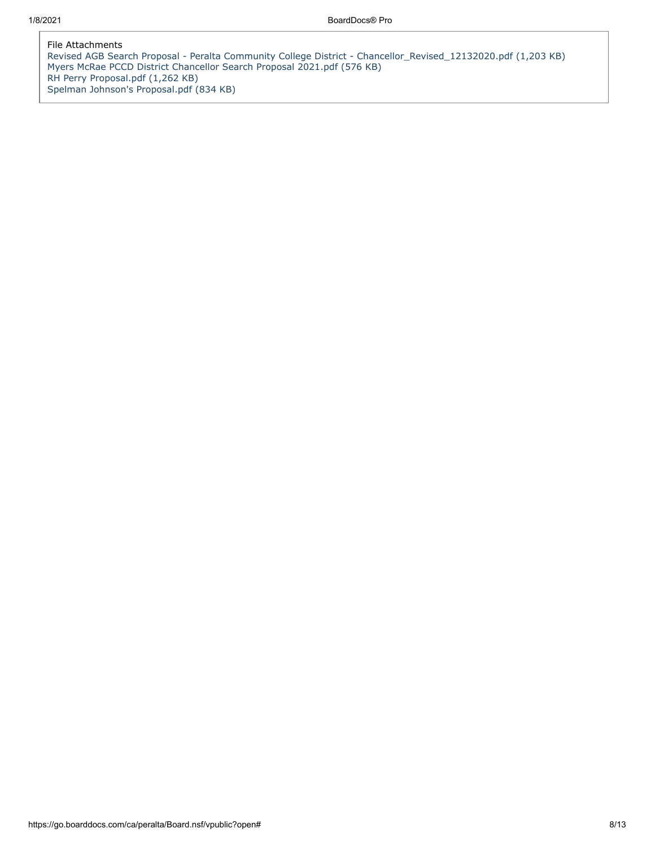File Attachments [Revised AGB Search Proposal - Peralta Community College District - Chancellor\\_Revised\\_12132020.pdf \(1,203 KB\)](https://go.boarddocs.com/ca/peralta/Board.nsf/files/BX32CT7D1D9D/$file/Revised%20AGB%20Search%20Proposal%20-%20Peralta%20Community%20College%20District%20-%20Chancellor_Revised_12132020.pdf) [Myers McRae PCCD District Chancellor Search Proposal 2021.pdf \(576 KB\)](https://go.boarddocs.com/ca/peralta/Board.nsf/files/BX32CV7D2146/$file/Myers%20McRae%20PCCD%20District%20Chancellor%20Search%20Proposal%202021.pdf) [RH Perry Proposal.pdf \(1,262 KB\)](https://go.boarddocs.com/ca/peralta/Board.nsf/files/BX32CZ7D24F0/$file/RH%20Perry%20Proposal.pdf) [Spelman Johnson's Proposal.pdf \(834 KB\)](https://go.boarddocs.com/ca/peralta/Board.nsf/files/BX32D67D55D8/$file/Spelman%20Johnson)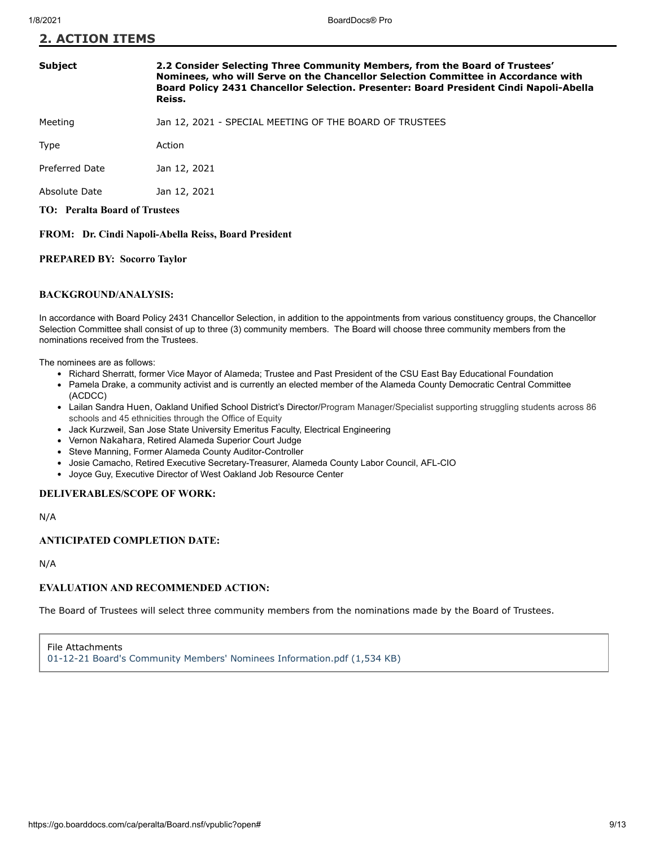#### **Subject 2.2 Consider Selecting Three Community Members, from the Board of Trustees' Nominees, who will Serve on the Chancellor Selection Committee in Accordance with Board Policy 2431 Chancellor Selection. Presenter: Board President Cindi Napoli-Abella Reiss.**

Meeting Jan 12, 2021 - SPECIAL MEETING OF THE BOARD OF TRUSTEES

Type Action

Preferred Date Jan 12, 2021

Absolute Date Jan 12, 2021

**TO: Peralta Board of Trustees**

**FROM: Dr. Cindi Napoli-Abella Reiss, Board President**

#### **PREPARED BY: Socorro Taylor**

#### **BACKGROUND/ANALYSIS:**

In accordance with Board Policy 2431 Chancellor Selection, in addition to the appointments from various constituency groups, the Chancellor Selection Committee shall consist of up to three (3) community members. The Board will choose three community members from the nominations received from the Trustees.

The nominees are as follows:

- Richard Sherratt, former Vice Mayor of Alameda; Trustee and Past President of the CSU East Bay Educational Foundation
- Pamela Drake, a community activist and is currently an elected member of the Alameda County Democratic Central Committee (ACDCC)
- Lailan Sandra Huen, Oakland Unified School District's Director/Program Manager/Specialist supporting struggling students across 86 schools and 45 ethnicities through the Office of Equity
- Jack Kurzweil, San Jose State University Emeritus Faculty, Electrical Engineering
- Vernon Nakahara, Retired Alameda Superior Court Judge
- Steve Manning, Former Alameda County Auditor-Controller
- Josie Camacho, Retired Executive Secretary-Treasurer, Alameda County Labor Council, AFL-CIO
- Joyce Guy, Executive Director of West Oakland Job Resource Center

### **DELIVERABLES/SCOPE OF WORK:**

N/A

## **ANTICIPATED COMPLETION DATE:**

N/A

## **EVALUATION AND RECOMMENDED ACTION:**

The Board of Trustees will select three community members from the nominations made by the Board of Trustees.

File Attachments [01-12-21 Board's Community Members' Nominees Information.pdf \(1,534 KB\)](https://go.boarddocs.com/ca/peralta/Board.nsf/files/BX429K7B2062/$file/01-12-21%20Board)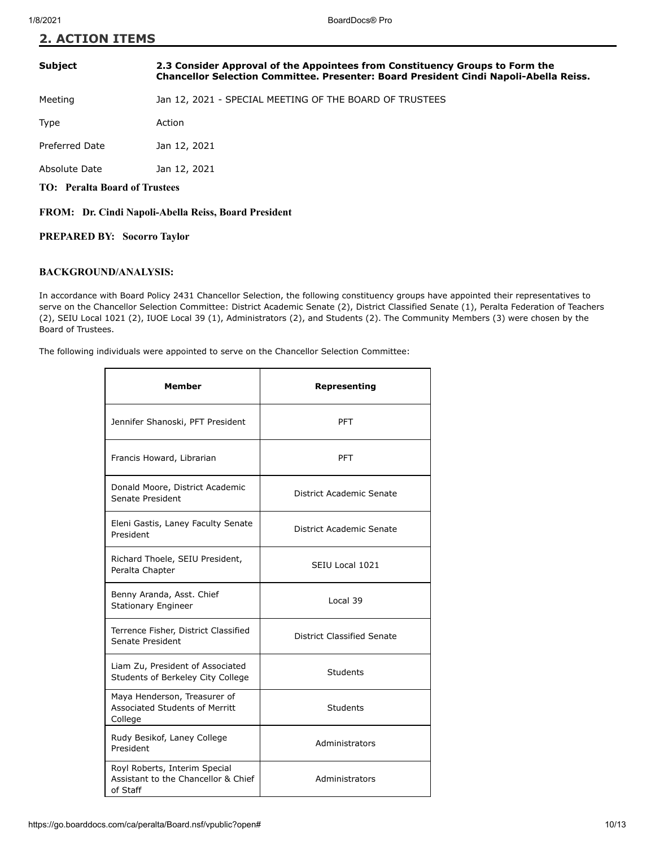#### **Subject 2.3 Consider Approval of the Appointees from Constituency Groups to Form the Chancellor Selection Committee. Presenter: Board President Cindi Napoli-Abella Reiss.**

Meeting Jan 12, 2021 - SPECIAL MEETING OF THE BOARD OF TRUSTEES

Type **Action** 

Preferred Date Jan 12, 2021

Absolute Date Jan 12, 2021

**TO: Peralta Board of Trustees**

**FROM: Dr. Cindi Napoli-Abella Reiss, Board President** 

**PREPARED BY: Socorro Taylor**

### **BACKGROUND/ANALYSIS:**

In accordance with Board Policy 2431 Chancellor Selection, the following constituency groups have appointed their representatives to serve on the Chancellor Selection Committee: District Academic Senate (2), District Classified Senate (1), Peralta Federation of Teachers (2), SEIU Local 1021 (2), IUOE Local 39 (1), Administrators (2), and Students (2). The Community Members (3) were chosen by the Board of Trustees.

The following individuals were appointed to serve on the Chancellor Selection Committee:

| Member                                                                           | Representing               |
|----------------------------------------------------------------------------------|----------------------------|
| Jennifer Shanoski, PFT President                                                 | <b>PFT</b>                 |
| Francis Howard, Librarian                                                        | <b>PFT</b>                 |
| Donald Moore, District Academic<br>Senate President                              | District Academic Senate   |
| Eleni Gastis, Laney Faculty Senate<br>President                                  | District Academic Senate   |
| Richard Thoele, SEIU President,<br>Peralta Chapter                               | SEIU Local 1021            |
| Benny Aranda, Asst. Chief<br><b>Stationary Engineer</b>                          | Local 39                   |
| Terrence Fisher, District Classified<br>Senate President                         | District Classified Senate |
| Liam Zu, President of Associated<br>Students of Berkeley City College            | <b>Students</b>            |
| Maya Henderson, Treasurer of<br>Associated Students of Merritt<br>College        | Students                   |
| Rudy Besikof, Laney College<br>President                                         | Administrators             |
| Royl Roberts, Interim Special<br>Assistant to the Chancellor & Chief<br>of Staff | Administrators             |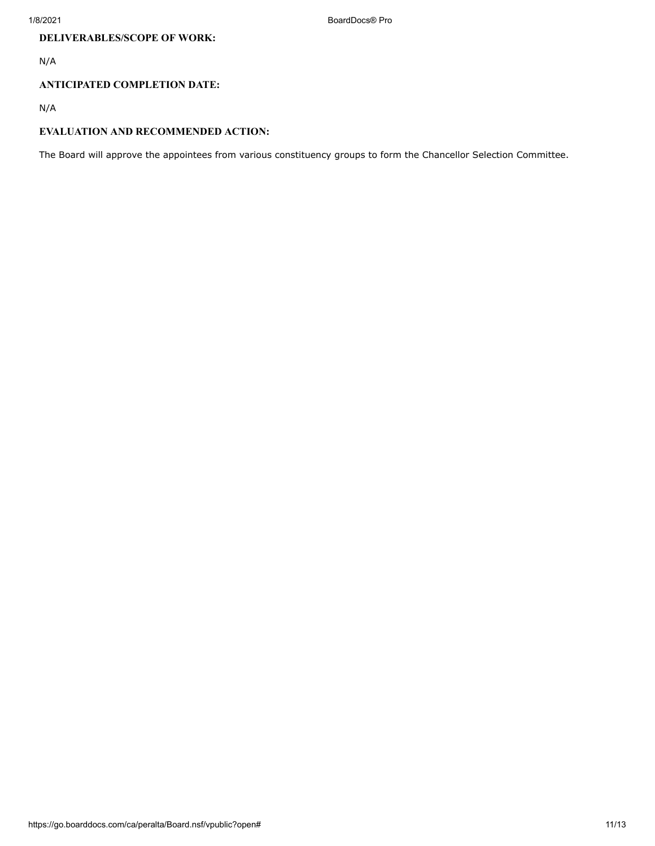# **DELIVERABLES/SCOPE OF WORK:**

N/A

## **ANTICIPATED COMPLETION DATE:**

N/A

## **EVALUATION AND RECOMMENDED ACTION:**

The Board will approve the appointees from various constituency groups to form the Chancellor Selection Committee.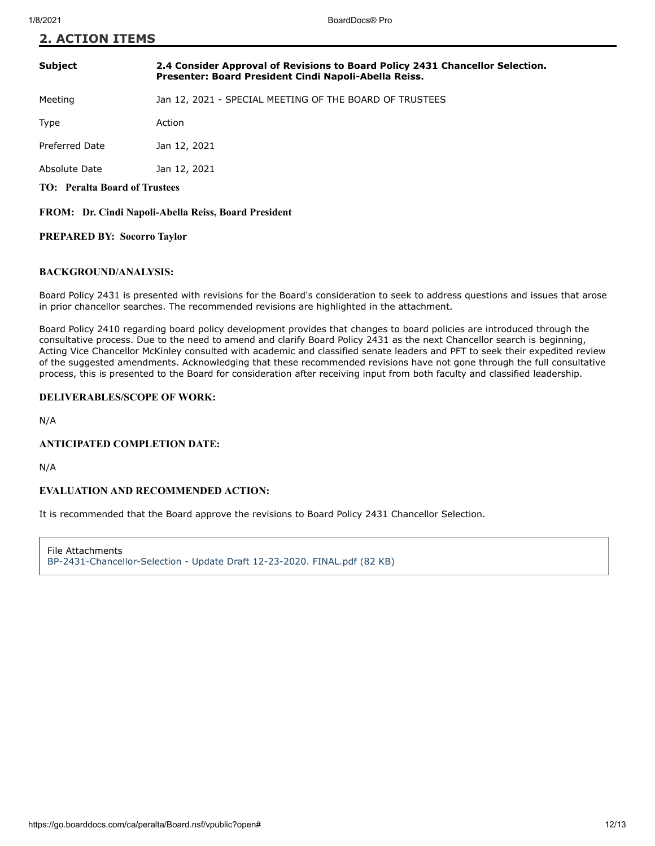### **Subject 2.4 Consider Approval of Revisions to Board Policy 2431 Chancellor Selection. Presenter: Board President Cindi Napoli-Abella Reiss.**

Meeting Jan 12, 2021 - SPECIAL MEETING OF THE BOARD OF TRUSTEES

Type **Action** 

Preferred Date Jan 12, 2021

Absolute Date Jan 12, 2021

**TO: Peralta Board of Trustees**

**FROM: Dr. Cindi Napoli-Abella Reiss, Board President**

#### **PREPARED BY: Socorro Taylor**

#### **BACKGROUND/ANALYSIS:**

Board Policy 2431 is presented with revisions for the Board's consideration to seek to address questions and issues that arose in prior chancellor searches. The recommended revisions are highlighted in the attachment.

Board Policy 2410 regarding board policy development provides that changes to board policies are introduced through the consultative process. Due to the need to amend and clarify Board Policy 2431 as the next Chancellor search is beginning, Acting Vice Chancellor McKinley consulted with academic and classified senate leaders and PFT to seek their expedited review of the suggested amendments. Acknowledging that these recommended revisions have not gone through the full consultative process, this is presented to the Board for consideration after receiving input from both faculty and classified leadership.

#### **DELIVERABLES/SCOPE OF WORK:**

N/A

#### **ANTICIPATED COMPLETION DATE:**

N/A

#### **EVALUATION AND RECOMMENDED ACTION:**

It is recommended that the Board approve the revisions to Board Policy 2431 Chancellor Selection.

File Attachments [BP-2431-Chancellor-Selection - Update Draft 12-23-2020. FINAL.pdf \(82 KB\)](https://go.boarddocs.com/ca/peralta/Board.nsf/files/BX3V9G790593/$file/BP-2431-Chancellor-Selection%20-%20Update%20Draft%2012-23-2020.%20FINAL.pdf)